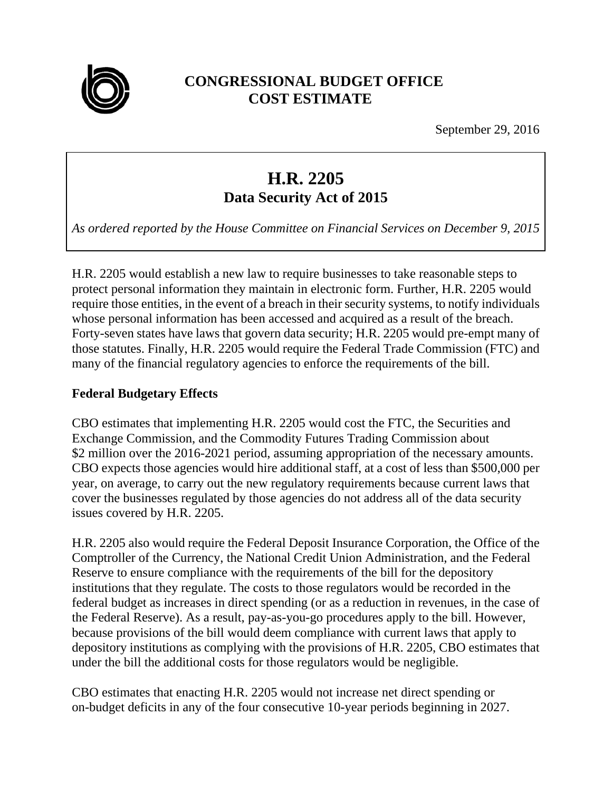

# **CONGRESSIONAL BUDGET OFFICE COST ESTIMATE**

September 29, 2016

# **H.R. 2205 Data Security Act of 2015**

*As ordered reported by the House Committee on Financial Services on December 9, 2015* 

H.R. 2205 would establish a new law to require businesses to take reasonable steps to protect personal information they maintain in electronic form. Further, H.R. 2205 would require those entities, in the event of a breach in their security systems, to notify individuals whose personal information has been accessed and acquired as a result of the breach. Forty-seven states have laws that govern data security; H.R. 2205 would pre-empt many of those statutes. Finally, H.R. 2205 would require the Federal Trade Commission (FTC) and many of the financial regulatory agencies to enforce the requirements of the bill.

#### **Federal Budgetary Effects**

CBO estimates that implementing H.R. 2205 would cost the FTC, the Securities and Exchange Commission, and the Commodity Futures Trading Commission about \$2 million over the 2016-2021 period, assuming appropriation of the necessary amounts. CBO expects those agencies would hire additional staff, at a cost of less than \$500,000 per year, on average, to carry out the new regulatory requirements because current laws that cover the businesses regulated by those agencies do not address all of the data security issues covered by H.R. 2205.

H.R. 2205 also would require the Federal Deposit Insurance Corporation, the Office of the Comptroller of the Currency, the National Credit Union Administration, and the Federal Reserve to ensure compliance with the requirements of the bill for the depository institutions that they regulate. The costs to those regulators would be recorded in the federal budget as increases in direct spending (or as a reduction in revenues, in the case of the Federal Reserve). As a result, pay-as-you-go procedures apply to the bill. However, because provisions of the bill would deem compliance with current laws that apply to depository institutions as complying with the provisions of H.R. 2205, CBO estimates that under the bill the additional costs for those regulators would be negligible.

CBO estimates that enacting H.R. 2205 would not increase net direct spending or on-budget deficits in any of the four consecutive 10-year periods beginning in 2027.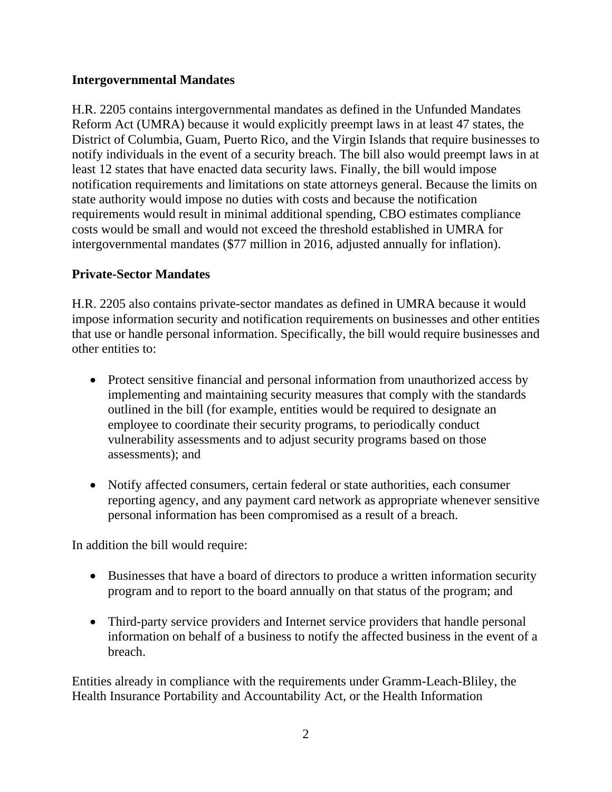### **Intergovernmental Mandates**

H.R. 2205 contains intergovernmental mandates as defined in the Unfunded Mandates Reform Act (UMRA) because it would explicitly preempt laws in at least 47 states, the District of Columbia, Guam, Puerto Rico, and the Virgin Islands that require businesses to notify individuals in the event of a security breach. The bill also would preempt laws in at least 12 states that have enacted data security laws. Finally, the bill would impose notification requirements and limitations on state attorneys general. Because the limits on state authority would impose no duties with costs and because the notification requirements would result in minimal additional spending, CBO estimates compliance costs would be small and would not exceed the threshold established in UMRA for intergovernmental mandates (\$77 million in 2016, adjusted annually for inflation).

## **Private-Sector Mandates**

H.R. 2205 also contains private-sector mandates as defined in UMRA because it would impose information security and notification requirements on businesses and other entities that use or handle personal information. Specifically, the bill would require businesses and other entities to:

- Protect sensitive financial and personal information from unauthorized access by implementing and maintaining security measures that comply with the standards outlined in the bill (for example, entities would be required to designate an employee to coordinate their security programs, to periodically conduct vulnerability assessments and to adjust security programs based on those assessments); and
- Notify affected consumers, certain federal or state authorities, each consumer reporting agency, and any payment card network as appropriate whenever sensitive personal information has been compromised as a result of a breach.

In addition the bill would require:

- Businesses that have a board of directors to produce a written information security program and to report to the board annually on that status of the program; and
- Third-party service providers and Internet service providers that handle personal information on behalf of a business to notify the affected business in the event of a breach.

Entities already in compliance with the requirements under Gramm-Leach-Bliley, the Health Insurance Portability and Accountability Act, or the Health Information